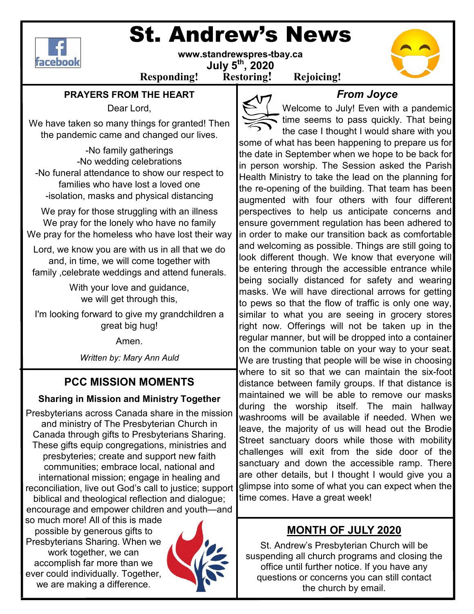

# St. Andrew's News

**www.standrewspres-tbay.ca July 5th, 2020** 

**Responding! Restoring! Rejoicing!**

#### **PRAYERS FROM THE HEART**

Dear Lord,

We have taken so many things for granted! Then the pandemic came and changed our lives.

-No family gatherings -No wedding celebrations -No funeral attendance to show our respect to families who have lost a loved one -isolation, masks and physical distancing

We pray for those struggling with an illness We pray for the lonely who have no family We pray for the homeless who have lost their way

Lord, we know you are with us in all that we do and, in time, we will come together with family ,celebrate weddings and attend funerals.

> With your love and guidance, we will get through this,

I'm looking forward to give my grandchildren a great big hug!

Amen.

*Written by: Mary Ann Auld*

### **PCC MISSION MOMENTS**

#### **Sharing in Mission and Ministry Together**

Presbyterians across Canada share in the mission and ministry of The Presbyterian Church in Canada through gifts to Presbyterians Sharing. These gifts equip congregations, ministries and presbyteries; create and support new faith communities; embrace local, national and international mission; engage in healing and reconciliation, live out God's call to justice; support biblical and theological reflection and dialogue;

encourage and empower children and youth—and so much more! All of this is made possible by generous gifts to Presbyterians Sharing. When we work together, we can accomplish far more than we ever could individually. Together, we are making a difference.



*From Joyce* 

Welcome to July! Even with a pandemic time seems to pass quickly. That being the case I thought I would share with you some of what has been happening to prepare us for the date in September when we hope to be back for in person worship. The Session asked the Parish Health Ministry to take the lead on the planning for the re-opening of the building. That team has been augmented with four others with four different perspectives to help us anticipate concerns and ensure government regulation has been adhered to in order to make our transition back as comfortable and welcoming as possible. Things are still going to look different though. We know that everyone will be entering through the accessible entrance while being socially distanced for safety and wearing masks. We will have directional arrows for getting to pews so that the flow of traffic is only one way, similar to what you are seeing in grocery stores right now. Offerings will not be taken up in the regular manner, but will be dropped into a container on the communion table on your way to your seat. We are trusting that people will be wise in choosing where to sit so that we can maintain the six-foot distance between family groups. If that distance is maintained we will be able to remove our masks during the worship itself. The main hallway washrooms will be available if needed. When we leave, the majority of us will head out the Brodie Street sanctuary doors while those with mobility challenges will exit from the side door of the sanctuary and down the accessible ramp. There are other details, but I thought I would give you a glimpse into some of what you can expect when the time comes. Have a great week!

## **MONTH OF JULY 2020**

St. Andrew's Presbyterian Church will be suspending all church programs and closing the office until further notice. If you have any questions or concerns you can still contact the church by email.